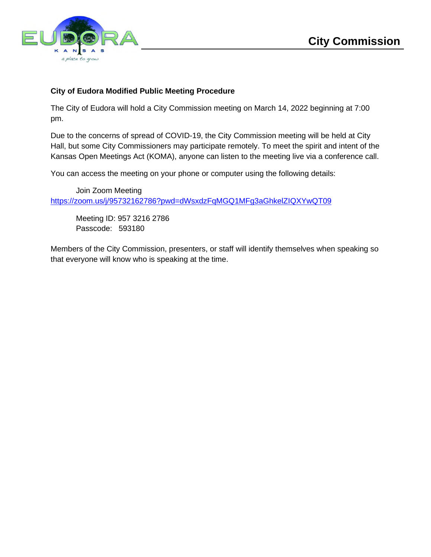

### **City of Eudora Modified Public Meeting Procedure**

The City of Eudora will hold a City Commission meeting on March 14, 2022 beginning at 7:00 pm.

Due to the concerns of spread of COVID-19, the City Commission meeting will be held at City Hall, but some City Commissioners may participate remotely. To meet the spirit and intent of the Kansas Open Meetings Act (KOMA), anyone can listen to the meeting live via a conference call.

You can access the meeting on your phone or computer using the following details:

Join Zoom Meeting https://zoom.us/j/95732162786?pwd=dWsxdzFqMGQ1MFg3aGhkelZIQXYwQT09

Meeting ID: 957 3216 2786 Passcode: 593180

Members of the City Commission, presenters, or staff will identify themselves when speaking so that everyone will know who is speaking at the time.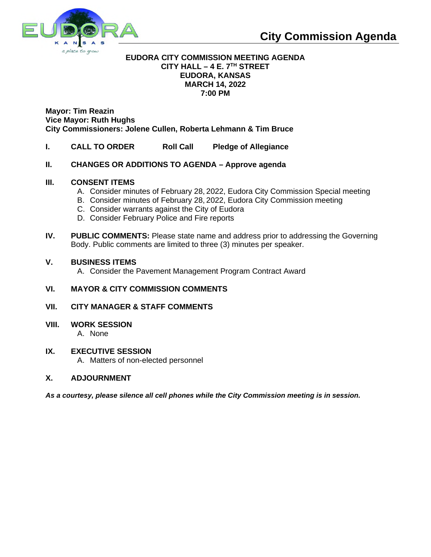

### **EUDORA CITY COMMISSION MEETING AGENDA CITY HALL – 4 E. 7TH STREET EUDORA, KANSAS MARCH 14, 2022 7:00 PM**

**Mayor: Tim Reazin Vice Mayor: Ruth Hughs City Commissioners: Jolene Cullen, Roberta Lehmann & Tim Bruce**

- **I. CALL TO ORDER Roll Call Pledge of Allegiance**
- **II. CHANGES OR ADDITIONS TO AGENDA Approve agenda**

### **III. CONSENT ITEMS**

- A. Consider minutes of February 28, 2022, Eudora City Commission Special meeting
- B. Consider minutes of February 28, 2022, Eudora City Commission meeting
- C. Consider warrants against the City of Eudora
- D. Consider February Police and Fire reports
- **IV.** PUBLIC COMMENTS: Please state name and address prior to addressing the Governing Body. Public comments are limited to three (3) minutes per speaker.

### **V. BUSINESS ITEMS**

A. Consider the Pavement Management Program Contract Award

### **VI. MAYOR & CITY COMMISSION COMMENTS**

- **VII. CITY MANAGER & STAFF COMMENTS**
- **VIII. WORK SESSION**

A. None

#### **IX. EXECUTIVE SESSION**

A. Matters of non-elected personnel

### **X. ADJOURNMENT**

*As a courtesy, please silence all cell phones while the City Commission meeting is in session.*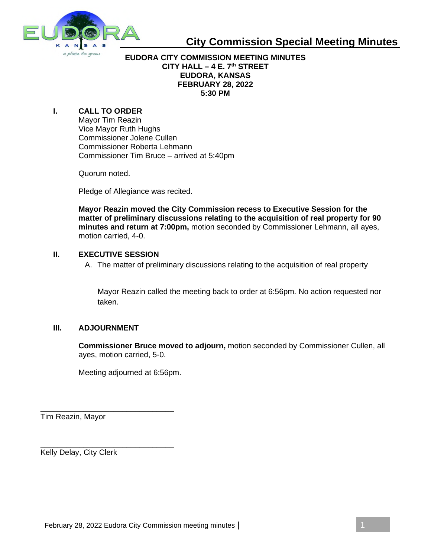

### **City Commission Special Meeting Minutes**

### **EUDORA CITY COMMISSION MEETING MINUTES CITY HALL – 4 E. 7th STREET EUDORA, KANSAS FEBRUARY 28, 2022 5:30 PM**

### **I. CALL TO ORDER**

Mayor Tim Reazin Vice Mayor Ruth Hughs Commissioner Jolene Cullen Commissioner Roberta Lehmann Commissioner Tim Bruce – arrived at 5:40pm

Quorum noted.

Pledge of Allegiance was recited.

**Mayor Reazin moved the City Commission recess to Executive Session for the matter of preliminary discussions relating to the acquisition of real property for 90 minutes and return at 7:00pm,** motion seconded by Commissioner Lehmann, all ayes, motion carried, 4-0.

#### **II. EXECUTIVE SESSION**

A. The matter of preliminary discussions relating to the acquisition of real property

Mayor Reazin called the meeting back to order at 6:56pm. No action requested nor taken.

### **III. ADJOURNMENT**

\_\_\_\_\_\_\_\_\_\_\_\_\_\_\_\_\_\_\_\_\_\_\_\_\_\_\_\_\_\_\_

\_\_\_\_\_\_\_\_\_\_\_\_\_\_\_\_\_\_\_\_\_\_\_\_\_\_\_\_\_\_\_

**Commissioner Bruce moved to adjourn,** motion seconded by Commissioner Cullen, all ayes, motion carried, 5-0.

Meeting adjourned at 6:56pm.

Tim Reazin, Mayor

Kelly Delay, City Clerk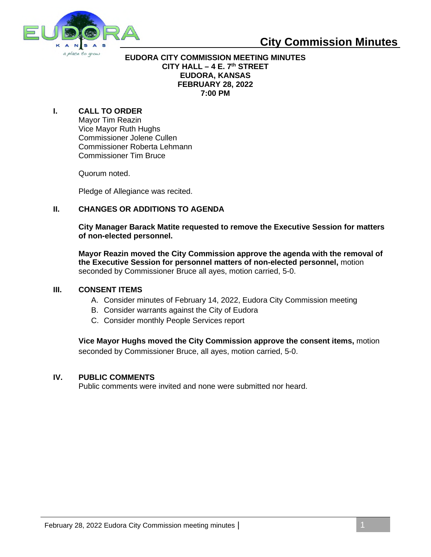

### **City Commission Minutes**

#### **EUDORA CITY COMMISSION MEETING MINUTES CITY HALL – 4 E. 7th STREET EUDORA, KANSAS FEBRUARY 28, 2022 7:00 PM**

### **I. CALL TO ORDER**

Mayor Tim Reazin Vice Mayor Ruth Hughs Commissioner Jolene Cullen Commissioner Roberta Lehmann Commissioner Tim Bruce

Quorum noted.

Pledge of Allegiance was recited.

### **II. CHANGES OR ADDITIONS TO AGENDA**

**City Manager Barack Matite requested to remove the Executive Session for matters of non-elected personnel.**

**Mayor Reazin moved the City Commission approve the agenda with the removal of the Executive Session for personnel matters of non-elected personnel,** motion seconded by Commissioner Bruce all ayes, motion carried, 5-0.

### **III. CONSENT ITEMS**

- A. Consider minutes of February 14, 2022, Eudora City Commission meeting
- B. Consider warrants against the City of Eudora
- C. Consider monthly People Services report

**Vice Mayor Hughs moved the City Commission approve the consent items,** motion seconded by Commissioner Bruce, all ayes, motion carried, 5-0.

#### **IV. PUBLIC COMMENTS**

Public comments were invited and none were submitted nor heard.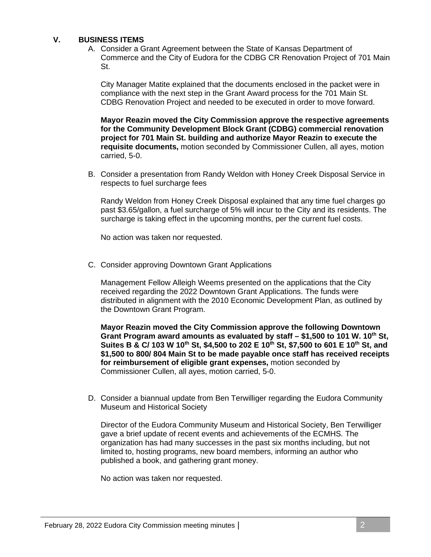### **V. BUSINESS ITEMS**

A. Consider a Grant Agreement between the State of Kansas Department of Commerce and the City of Eudora for the CDBG CR Renovation Project of 701 Main St.

City Manager Matite explained that the documents enclosed in the packet were in compliance with the next step in the Grant Award process for the 701 Main St. CDBG Renovation Project and needed to be executed in order to move forward.

**Mayor Reazin moved the City Commission approve the respective agreements for the Community Development Block Grant (CDBG) commercial renovation project for 701 Main St. building and authorize Mayor Reazin to execute the requisite documents,** motion seconded by Commissioner Cullen, all ayes, motion carried, 5-0.

B. Consider a presentation from Randy Weldon with Honey Creek Disposal Service in respects to fuel surcharge fees

Randy Weldon from Honey Creek Disposal explained that any time fuel charges go past \$3.65/gallon, a fuel surcharge of 5% will incur to the City and its residents. The surcharge is taking effect in the upcoming months, per the current fuel costs.

No action was taken nor requested.

C. Consider approving Downtown Grant Applications

Management Fellow Alleigh Weems presented on the applications that the City received regarding the 2022 Downtown Grant Applications. The funds were distributed in alignment with the 2010 Economic Development Plan, as outlined by the Downtown Grant Program.

**Mayor Reazin moved the City Commission approve the following Downtown Grant Program award amounts as evaluated by staff – \$1,500 to 101 W. 10th St, Suites B & C/ 103 W 10th St, \$4,500 to 202 E 10th St, \$7,500 to 601 E 10th St, and \$1,500 to 800/ 804 Main St to be made payable once staff has received receipts for reimbursement of eligible grant expenses,** motion seconded by Commissioner Cullen, all ayes, motion carried, 5-0.

D. Consider a biannual update from Ben Terwilliger regarding the Eudora Community Museum and Historical Society

Director of the Eudora Community Museum and Historical Society, Ben Terwilliger gave a brief update of recent events and achievements of the ECMHS. The organization has had many successes in the past six months including, but not limited to, hosting programs, new board members, informing an author who published a book, and gathering grant money.

No action was taken nor requested.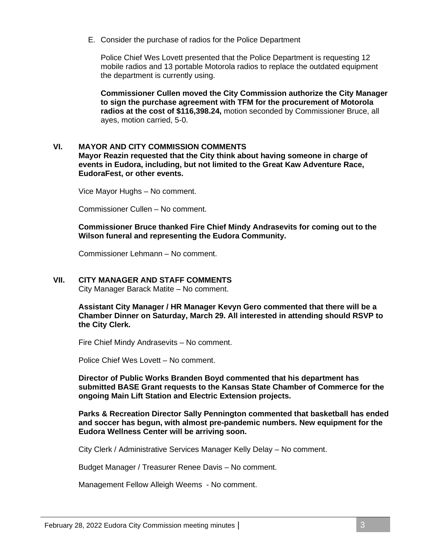E. Consider the purchase of radios for the Police Department

Police Chief Wes Lovett presented that the Police Department is requesting 12 mobile radios and 13 portable Motorola radios to replace the outdated equipment the department is currently using.

**Commissioner Cullen moved the City Commission authorize the City Manager to sign the purchase agreement with TFM for the procurement of Motorola radios at the cost of \$116,398.24,** motion seconded by Commissioner Bruce, all ayes, motion carried, 5-0.

### **VI. MAYOR AND CITY COMMISSION COMMENTS**

**Mayor Reazin requested that the City think about having someone in charge of events in Eudora, including, but not limited to the Great Kaw Adventure Race, EudoraFest, or other events.**

Vice Mayor Hughs – No comment.

Commissioner Cullen – No comment.

**Commissioner Bruce thanked Fire Chief Mindy Andrasevits for coming out to the Wilson funeral and representing the Eudora Community.**

Commissioner Lehmann – No comment.

### **VII. CITY MANAGER AND STAFF COMMENTS**

City Manager Barack Matite – No comment.

**Assistant City Manager / HR Manager Kevyn Gero commented that there will be a Chamber Dinner on Saturday, March 29. All interested in attending should RSVP to the City Clerk.**

Fire Chief Mindy Andrasevits – No comment.

Police Chief Wes Lovett – No comment.

**Director of Public Works Branden Boyd commented that his department has submitted BASE Grant requests to the Kansas State Chamber of Commerce for the ongoing Main Lift Station and Electric Extension projects.**

**Parks & Recreation Director Sally Pennington commented that basketball has ended and soccer has begun, with almost pre-pandemic numbers. New equipment for the Eudora Wellness Center will be arriving soon.**

City Clerk / Administrative Services Manager Kelly Delay – No comment.

Budget Manager / Treasurer Renee Davis – No comment.

Management Fellow Alleigh Weems - No comment.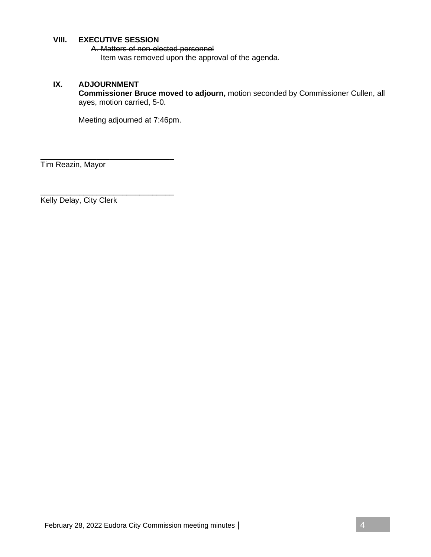#### **VIII. EXECUTIVE SESSION**

\_\_\_\_\_\_\_\_\_\_\_\_\_\_\_\_\_\_\_\_\_\_\_\_\_\_\_\_\_\_\_

\_\_\_\_\_\_\_\_\_\_\_\_\_\_\_\_\_\_\_\_\_\_\_\_\_\_\_\_\_\_\_

A. Matters of non-elected personnel Item was removed upon the approval of the agenda.

### **IX. ADJOURNMENT**

**Commissioner Bruce moved to adjourn,** motion seconded by Commissioner Cullen, all ayes, motion carried, 5-0.

Meeting adjourned at 7:46pm.

Tim Reazin, Mayor

Kelly Delay, City Clerk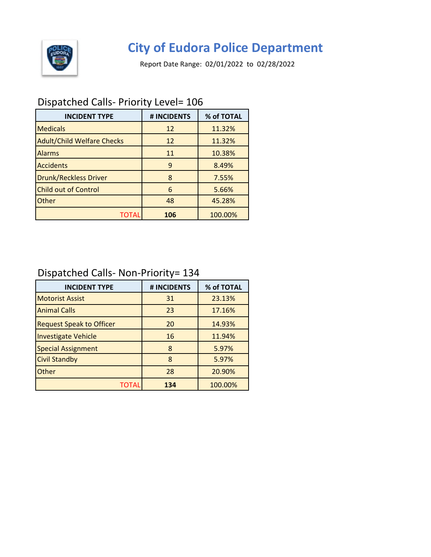

## **City of Eudora Police Department**

Report Date Range: 02/01/2022 to 02/28/2022

### Dispatched Calls- Priority Level= 106

| <b>INCIDENT TYPE</b>              | # INCIDENTS | % of TOTAL |
|-----------------------------------|-------------|------------|
| <b>Medicals</b>                   | 12          | 11.32%     |
| <b>Adult/Child Welfare Checks</b> | 12          | 11.32%     |
| <b>Alarms</b>                     | 11          | 10.38%     |
| <b>Accidents</b>                  | 9           | 8.49%      |
| <b>Drunk/Reckless Driver</b>      | 8           | 7.55%      |
| <b>Child out of Control</b>       | 6           | 5.66%      |
| Other                             | 48          | 45.28%     |
| TOTAL                             | 106         | 100.00%    |

### Dispatched Calls- Non-Priority= 134

| <b>INCIDENT TYPE</b>            | # INCIDENTS | % of TOTAL |
|---------------------------------|-------------|------------|
| <b>Motorist Assist</b>          | 31          | 23.13%     |
| <b>Animal Calls</b>             | 23          | 17.16%     |
| <b>Request Speak to Officer</b> | 20          | 14.93%     |
| <b>Investigate Vehicle</b>      | 16          | 11.94%     |
| <b>Special Assignment</b>       | 8           | 5.97%      |
| <b>Civil Standby</b>            | 8           | 5.97%      |
| Other                           | 28          | 20.90%     |
| TOTAL                           | 134         | 100.00%    |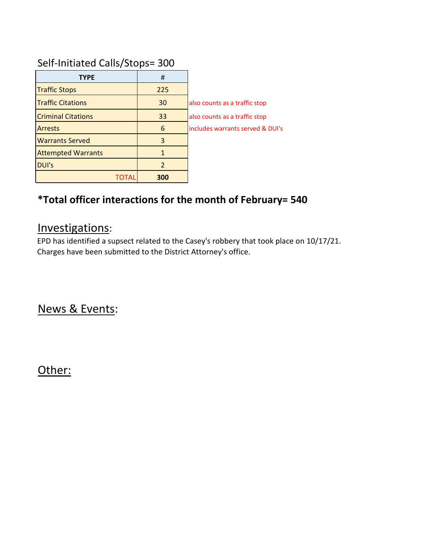### Self-Initiated Calls/Stops= 300

| <b>TYPE</b>               | #   |                                  |
|---------------------------|-----|----------------------------------|
| <b>Traffic Stops</b>      | 225 |                                  |
| <b>Traffic Citations</b>  | 30  | also counts as a traffic stop    |
| <b>Criminal Citations</b> | 33  | also counts as a traffic stop    |
| <b>Arrests</b>            | 6   | includes warrants served & DUI's |
| <b>Warrants Served</b>    | 3   |                                  |
| <b>Attempted Warrants</b> | 1   |                                  |
| DUI's                     | 2   |                                  |
|                           | 300 |                                  |

### **\*Total officer interactions for the month of February= 540**

### Investigations:

EPD has identified a supsect related to the Casey's robbery that took place on 10/17/21. Charges have been submitted to the District Attorney's office.

News & Events:

Other: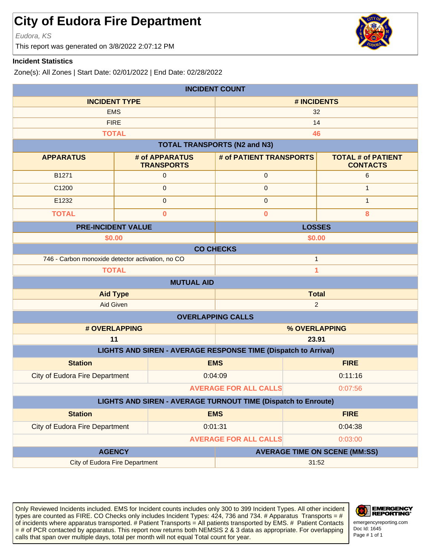### **City of Eudora Fire Department**

Eudora, KS

This report was generated on 3/8/2022 2:07:12 PM

### **Incident Statistics**

Zone(s): All Zones | Start Date: 02/01/2022 | End Date: 02/28/2022

| <b>INCIDENT COUNT</b>                                            |                                         |                                                                       |                                              |  |
|------------------------------------------------------------------|-----------------------------------------|-----------------------------------------------------------------------|----------------------------------------------|--|
|                                                                  | <b>INCIDENT TYPE</b><br># INCIDENTS     |                                                                       |                                              |  |
| <b>EMS</b>                                                       |                                         | 32                                                                    |                                              |  |
| <b>FIRE</b>                                                      |                                         | 14                                                                    |                                              |  |
| <b>TOTAL</b>                                                     |                                         | 46                                                                    |                                              |  |
|                                                                  |                                         | <b>TOTAL TRANSPORTS (N2 and N3)</b>                                   |                                              |  |
| <b>APPARATUS</b>                                                 | # of APPARATUS<br><b>TRANSPORTS</b>     | # of PATIENT TRANSPORTS                                               | <b>TOTAL # of PATIENT</b><br><b>CONTACTS</b> |  |
| B1271                                                            | $\mathbf 0$                             | 0                                                                     | 6                                            |  |
| C1200                                                            | 0                                       | $\mathbf{0}$                                                          | $\mathbf{1}$                                 |  |
| E1232                                                            | $\mathsf 0$                             | $\pmb{0}$                                                             | $\mathbf{1}$                                 |  |
| <b>TOTAL</b>                                                     | $\mathbf 0$                             | $\overline{\mathbf{0}}$                                               | 8                                            |  |
|                                                                  | <b>PRE-INCIDENT VALUE</b>               |                                                                       | <b>LOSSES</b>                                |  |
| \$0.00                                                           |                                         | \$0.00                                                                |                                              |  |
|                                                                  | <b>CO CHECKS</b>                        |                                                                       |                                              |  |
| 746 - Carbon monoxide detector activation, no CO<br>$\mathbf{1}$ |                                         |                                                                       |                                              |  |
| <b>TOTAL</b>                                                     |                                         |                                                                       | $\overline{\mathbf{1}}$                      |  |
|                                                                  | <b>MUTUAL AID</b>                       |                                                                       |                                              |  |
|                                                                  | <b>Total</b><br><b>Aid Type</b>         |                                                                       |                                              |  |
| <b>Aid Given</b>                                                 |                                         | $\overline{2}$                                                        |                                              |  |
|                                                                  |                                         | <b>OVERLAPPING CALLS</b>                                              |                                              |  |
|                                                                  | # OVERLAPPING<br>% OVERLAPPING          |                                                                       |                                              |  |
| 11                                                               |                                         | 23.91                                                                 |                                              |  |
|                                                                  |                                         | <b>LIGHTS AND SIREN - AVERAGE RESPONSE TIME (Dispatch to Arrival)</b> |                                              |  |
| <b>Station</b>                                                   |                                         | <b>EMS</b>                                                            | <b>FIRE</b>                                  |  |
| <b>City of Eudora Fire Department</b>                            |                                         | 0:04:09                                                               | 0:11:16                                      |  |
|                                                                  | <b>AVERAGE FOR ALL CALLS</b><br>0:07:56 |                                                                       |                                              |  |
| LIGHTS AND SIREN - AVERAGE TURNOUT TIME (Dispatch to Enroute)    |                                         |                                                                       |                                              |  |
| <b>Station</b>                                                   |                                         | <b>EMS</b>                                                            | <b>FIRE</b>                                  |  |
| <b>City of Eudora Fire Department</b>                            |                                         | 0:01:31                                                               | 0:04:38                                      |  |
|                                                                  |                                         | <b>AVERAGE FOR ALL CALLS</b>                                          | 0:03:00                                      |  |
| <b>AGENCY</b>                                                    |                                         | <b>AVERAGE TIME ON SCENE (MM:SS)</b>                                  |                                              |  |
| <b>City of Eudora Fire Department</b>                            |                                         | 31:52                                                                 |                                              |  |

Only Reviewed Incidents included. EMS for Incident counts includes only 300 to 399 Incident Types. All other incident types are counted as FIRE. CO Checks only includes Incident Types: 424, 736 and 734. # Apparatus Transports = # of incidents where apparatus transported. # Patient Transports = All patients transported by EMS. # Patient Contacts = # of PCR contacted by apparatus. This report now returns both NEMSIS 2 & 3 data as appropriate. For overlapping calls that span over multiple days, total per month will not equal Total count for year.





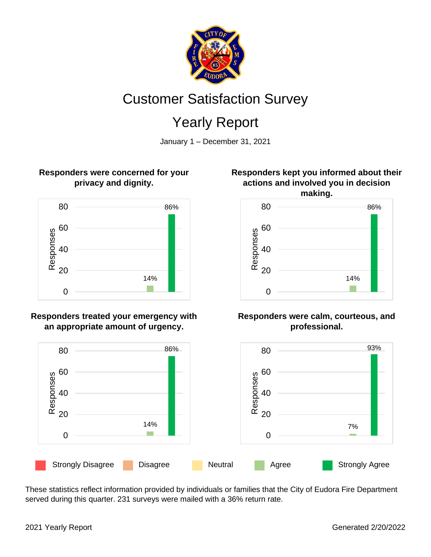

# Customer Satisfaction Survey

# Yearly Report

January 1 – December 31, 2021

### **Responders were concerned for your privacy and dignity.**



### **Responders treated your emergency with an appropriate amount of urgency.**



These statistics reflect information provided by individuals or families that the City of Eudora Fire Department served during this quarter. 231 surveys were mailed with a 36% return rate.

### **Responders kept you informed about their actions and involved you in decision making.**



### **Responders were calm, courteous, and professional.**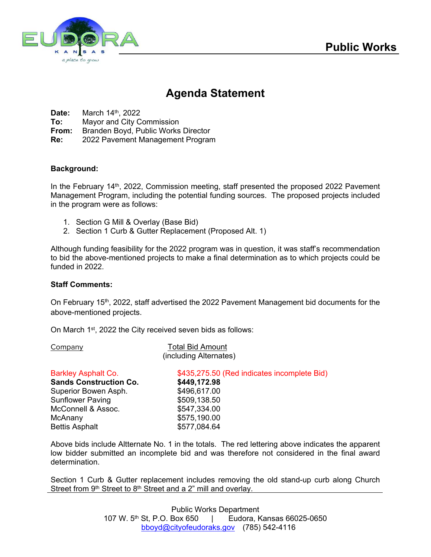

### **Agenda Statement**

**Date:** March 14th, 2022

**To:** Mayor and City Commission

**From:** Branden Boyd, Public Works Director

**Re:** 2022 Pavement Management Program

### **Background:**

In the February  $14<sup>th</sup>$ , 2022, Commission meeting, staff presented the proposed 2022 Pavement Management Program, including the potential funding sources. The proposed projects included in the program were as follows:

- 1. Section G Mill & Overlay (Base Bid)
- 2. Section 1 Curb & Gutter Replacement (Proposed Alt. 1)

Although funding feasibility for the 2022 program was in question, it was staff's recommendation to bid the above-mentioned projects to make a final determination as to which projects could be funded in 2022.

#### **Staff Comments:**

On February 15<sup>th</sup>, 2022, staff advertised the 2022 Pavement Management bid documents for the above-mentioned projects.

On March 1st, 2022 the City received seven bids as follows:

Company Total Bid Amount

| (including Alternates)        |                                             |  |  |
|-------------------------------|---------------------------------------------|--|--|
| <b>Barkley Asphalt Co.</b>    | \$435,275.50 (Red indicates incomplete Bid) |  |  |
| <b>Sands Construction Co.</b> | \$449,172.98                                |  |  |
| Superior Bowen Asph.          | \$496,617.00                                |  |  |
| Sunflower Paving              | \$509,138.50                                |  |  |
| McConnell & Assoc.            | \$547,334.00                                |  |  |
| McAnany                       | \$575,190.00                                |  |  |
| <b>Bettis Asphalt</b>         | \$577,084.64                                |  |  |
|                               |                                             |  |  |

Above bids include Altternate No. 1 in the totals. The red lettering above indicates the apparent low bidder submitted an incomplete bid and was therefore not considered in the final award determination.

Section 1 Curb & Gutter replacement includes removing the old stand-up curb along Church Street from 9<sup>th</sup> Street to 8<sup>th</sup> Street and a 2" mill and overlay.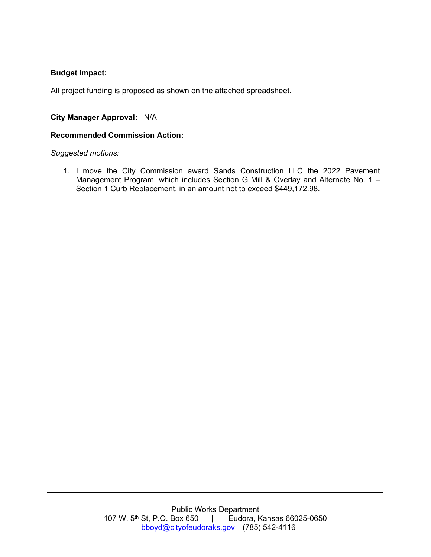### **Budget Impact:**

All project funding is proposed as shown on the attached spreadsheet.

### **City Manager Approval:** N/A

#### **Recommended Commission Action:**

*Suggested motions:* 

1. I move the City Commission award Sands Construction LLC the 2022 Pavement Management Program, which includes Section G Mill & Overlay and Alternate No. 1 -Section 1 Curb Replacement, in an amount not to exceed \$449,172.98.